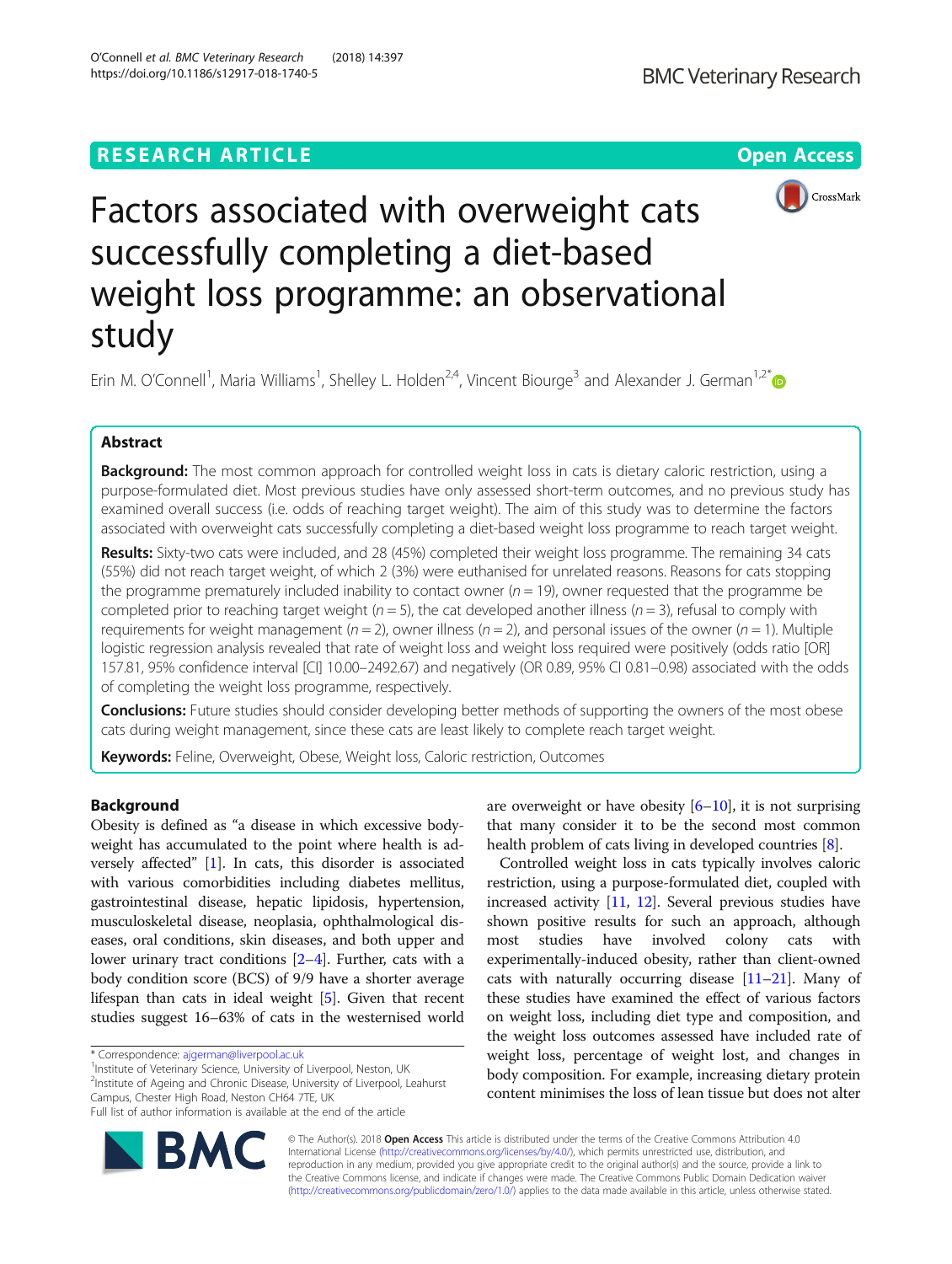https://doi.org/10.1186/s12917-018-1740-5

O'Connell et al. BMC Veterinary Research (2018) 14:397

# **RESEARCH ARTICLE Example 2018 12:30 THE Open Access**



# Factors associated with overweight cats successfully completing a diet-based weight loss programme: an observational study

Erin M. O'Connell<sup>1</sup>, Maria Williams<sup>1</sup>, Shelley L. Holden<sup>2,4</sup>, Vincent Biourge<sup>3</sup> and Alexander J. German<sup>1,2[\\*](http://orcid.org/0000-0002-3017-7988)</sup>

# Abstract

Background: The most common approach for controlled weight loss in cats is dietary caloric restriction, using a purpose-formulated diet. Most previous studies have only assessed short-term outcomes, and no previous study has examined overall success (i.e. odds of reaching target weight). The aim of this study was to determine the factors associated with overweight cats successfully completing a diet-based weight loss programme to reach target weight.

Results: Sixty-two cats were included, and 28 (45%) completed their weight loss programme. The remaining 34 cats (55%) did not reach target weight, of which 2 (3%) were euthanised for unrelated reasons. Reasons for cats stopping the programme prematurely included inability to contact owner  $(n = 19)$ , owner requested that the programme be completed prior to reaching target weight ( $n = 5$ ), the cat developed another illness ( $n = 3$ ), refusal to comply with requirements for weight management ( $n = 2$ ), owner illness ( $n = 2$ ), and personal issues of the owner ( $n = 1$ ). Multiple logistic regression analysis revealed that rate of weight loss and weight loss required were positively (odds ratio [OR] 157.81, 95% confidence interval [CI] 10.00–2492.67) and negatively (OR 0.89, 95% CI 0.81–0.98) associated with the odds of completing the weight loss programme, respectively.

**Conclusions:** Future studies should consider developing better methods of supporting the owners of the most obese cats during weight management, since these cats are least likely to complete reach target weight.

Keywords: Feline, Overweight, Obese, Weight loss, Caloric restriction, Outcomes

## Background

Obesity is defined as "a disease in which excessive bodyweight has accumulated to the point where health is adversely affected" [\[1\]](#page-8-0). In cats, this disorder is associated with various comorbidities including diabetes mellitus, gastrointestinal disease, hepatic lipidosis, hypertension, musculoskeletal disease, neoplasia, ophthalmological diseases, oral conditions, skin diseases, and both upper and lower urinary tract conditions [\[2](#page-8-0)–[4](#page-8-0)]. Further, cats with a body condition score (BCS) of 9/9 have a shorter average lifespan than cats in ideal weight [[5\]](#page-8-0). Given that recent studies suggest 16–63% of cats in the westernised world

<sup>1</sup>Institute of Veterinary Science, University of Liverpool, Neston, UK <sup>2</sup>Institute of Ageing and Chronic Disease, University of Liverpool, Leahurst Campus, Chester High Road, Neston CH64 7TE, UK

are overweight or have obesity  $[6–10]$  $[6–10]$  $[6–10]$  $[6–10]$  $[6–10]$ , it is not surprising that many consider it to be the second most common health problem of cats living in developed countries [\[8](#page-8-0)].

Controlled weight loss in cats typically involves caloric restriction, using a purpose-formulated diet, coupled with increased activity [\[11](#page-8-0), [12](#page-8-0)]. Several previous studies have shown positive results for such an approach, although most studies have involved colony cats with experimentally-induced obesity, rather than client-owned cats with naturally occurring disease  $[11-21]$  $[11-21]$  $[11-21]$ . Many of these studies have examined the effect of various factors on weight loss, including diet type and composition, and the weight loss outcomes assessed have included rate of weight loss, percentage of weight lost, and changes in body composition. For example, increasing dietary protein content minimises the loss of lean tissue but does not alter



© The Author(s). 2018 Open Access This article is distributed under the terms of the Creative Commons Attribution 4.0 International License [\(http://creativecommons.org/licenses/by/4.0/](http://creativecommons.org/licenses/by/4.0/)), which permits unrestricted use, distribution, and reproduction in any medium, provided you give appropriate credit to the original author(s) and the source, provide a link to the Creative Commons license, and indicate if changes were made. The Creative Commons Public Domain Dedication waiver [\(http://creativecommons.org/publicdomain/zero/1.0/](http://creativecommons.org/publicdomain/zero/1.0/)) applies to the data made available in this article, unless otherwise stated.

<sup>\*</sup> Correspondence: [ajgerman@liverpool.ac.uk](mailto:ajgerman@liverpool.ac.uk) <sup>1</sup>

Full list of author information is available at the end of the article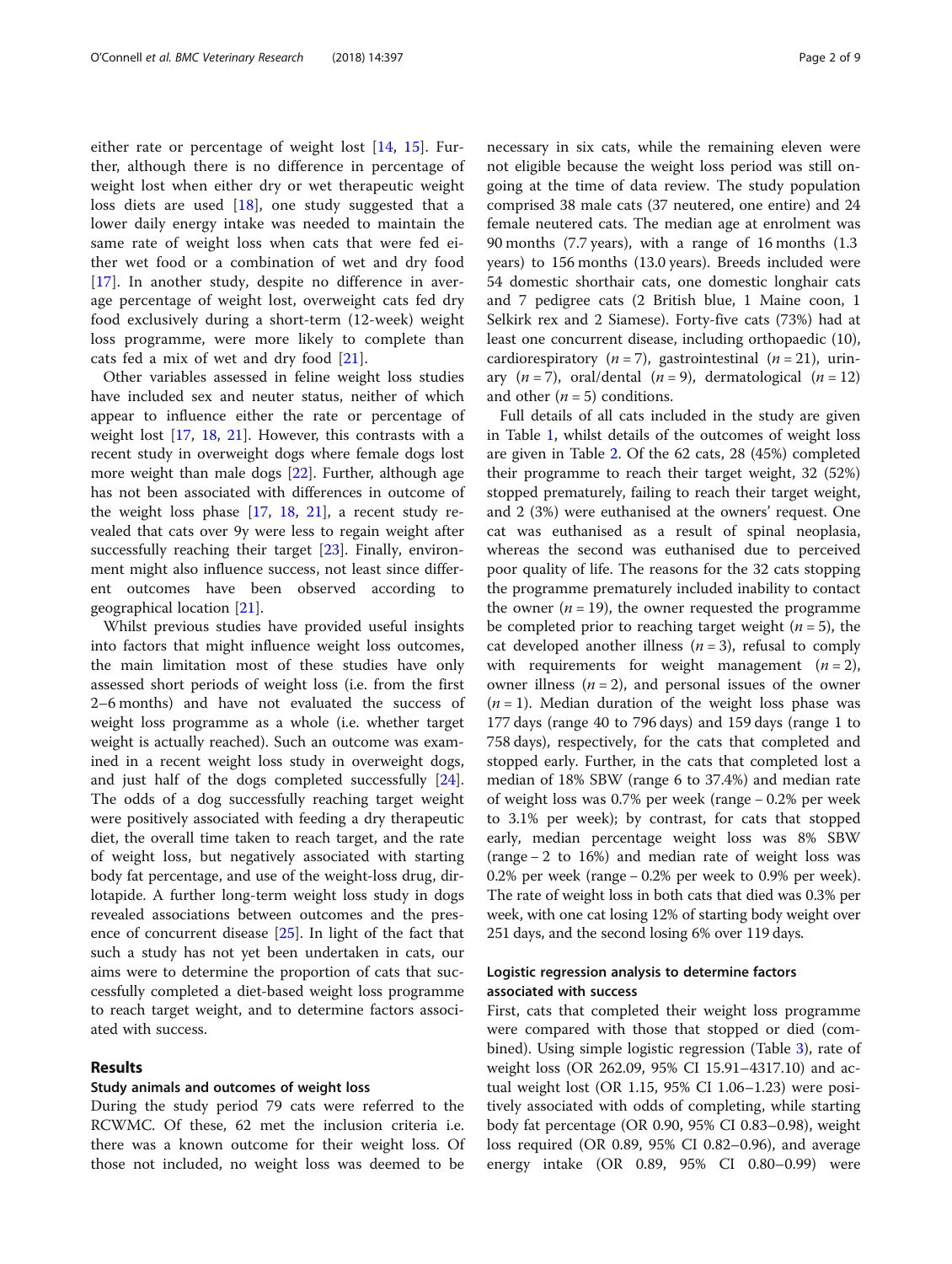either rate or percentage of weight lost [\[14](#page-8-0), [15\]](#page-8-0). Further, although there is no difference in percentage of weight lost when either dry or wet therapeutic weight loss diets are used [[18\]](#page-8-0), one study suggested that a lower daily energy intake was needed to maintain the same rate of weight loss when cats that were fed either wet food or a combination of wet and dry food [[17\]](#page-8-0). In another study, despite no difference in average percentage of weight lost, overweight cats fed dry food exclusively during a short-term (12-week) weight loss programme, were more likely to complete than cats fed a mix of wet and dry food [[21\]](#page-8-0).

Other variables assessed in feline weight loss studies have included sex and neuter status, neither of which appear to influence either the rate or percentage of weight lost [[17,](#page-8-0) [18,](#page-8-0) [21\]](#page-8-0). However, this contrasts with a recent study in overweight dogs where female dogs lost more weight than male dogs [[22\]](#page-8-0). Further, although age has not been associated with differences in outcome of the weight loss phase  $[17, 18, 21]$  $[17, 18, 21]$  $[17, 18, 21]$  $[17, 18, 21]$  $[17, 18, 21]$ , a recent study revealed that cats over 9y were less to regain weight after successfully reaching their target [[23\]](#page-8-0). Finally, environment might also influence success, not least since different outcomes have been observed according to geographical location [[21\]](#page-8-0).

Whilst previous studies have provided useful insights into factors that might influence weight loss outcomes, the main limitation most of these studies have only assessed short periods of weight loss (i.e. from the first 2–6 months) and have not evaluated the success of weight loss programme as a whole (i.e. whether target weight is actually reached). Such an outcome was examined in a recent weight loss study in overweight dogs, and just half of the dogs completed successfully [\[24](#page-8-0)]. The odds of a dog successfully reaching target weight were positively associated with feeding a dry therapeutic diet, the overall time taken to reach target, and the rate of weight loss, but negatively associated with starting body fat percentage, and use of the weight-loss drug, dirlotapide. A further long-term weight loss study in dogs revealed associations between outcomes and the presence of concurrent disease [[25\]](#page-8-0). In light of the fact that such a study has not yet been undertaken in cats, our aims were to determine the proportion of cats that successfully completed a diet-based weight loss programme to reach target weight, and to determine factors associated with success.

#### Results

## Study animals and outcomes of weight loss

During the study period 79 cats were referred to the RCWMC. Of these, 62 met the inclusion criteria i.e. there was a known outcome for their weight loss. Of those not included, no weight loss was deemed to be

necessary in six cats, while the remaining eleven were not eligible because the weight loss period was still ongoing at the time of data review. The study population comprised 38 male cats (37 neutered, one entire) and 24 female neutered cats. The median age at enrolment was 90 months (7.7 years), with a range of 16 months (1.3 years) to 156 months (13.0 years). Breeds included were 54 domestic shorthair cats, one domestic longhair cats and 7 pedigree cats (2 British blue, 1 Maine coon, 1 Selkirk rex and 2 Siamese). Forty-five cats (73%) had at least one concurrent disease, including orthopaedic (10), cardiorespiratory ( $n = 7$ ), gastrointestinal ( $n = 21$ ), urinary  $(n = 7)$ , oral/dental  $(n = 9)$ , dermatological  $(n = 12)$ and other  $(n = 5)$  conditions.

Full details of all cats included in the study are given in Table [1,](#page-2-0) whilst details of the outcomes of weight loss are given in Table [2.](#page-2-0) Of the 62 cats, 28 (45%) completed their programme to reach their target weight, 32 (52%) stopped prematurely, failing to reach their target weight, and 2 (3%) were euthanised at the owners' request. One cat was euthanised as a result of spinal neoplasia, whereas the second was euthanised due to perceived poor quality of life. The reasons for the 32 cats stopping the programme prematurely included inability to contact the owner ( $n = 19$ ), the owner requested the programme be completed prior to reaching target weight ( $n = 5$ ), the cat developed another illness  $(n = 3)$ , refusal to comply with requirements for weight management  $(n = 2)$ , owner illness  $(n = 2)$ , and personal issues of the owner  $(n = 1)$ . Median duration of the weight loss phase was 177 days (range 40 to 796 days) and 159 days (range 1 to 758 days), respectively, for the cats that completed and stopped early. Further, in the cats that completed lost a median of 18% SBW (range 6 to 37.4%) and median rate of weight loss was 0.7% per week (range − 0.2% per week to 3.1% per week); by contrast, for cats that stopped early, median percentage weight loss was 8% SBW (range − 2 to 16%) and median rate of weight loss was 0.2% per week (range − 0.2% per week to 0.9% per week). The rate of weight loss in both cats that died was 0.3% per week, with one cat losing 12% of starting body weight over 251 days, and the second losing 6% over 119 days.

## Logistic regression analysis to determine factors associated with success

First, cats that completed their weight loss programme were compared with those that stopped or died (combined). Using simple logistic regression (Table [3](#page-3-0)), rate of weight loss (OR 262.09, 95% CI 15.91–4317.10) and actual weight lost (OR 1.15, 95% CI 1.06–1.23) were positively associated with odds of completing, while starting body fat percentage (OR 0.90, 95% CI 0.83–0.98), weight loss required (OR 0.89, 95% CI 0.82–0.96), and average energy intake (OR 0.89, 95% CI 0.80–0.99) were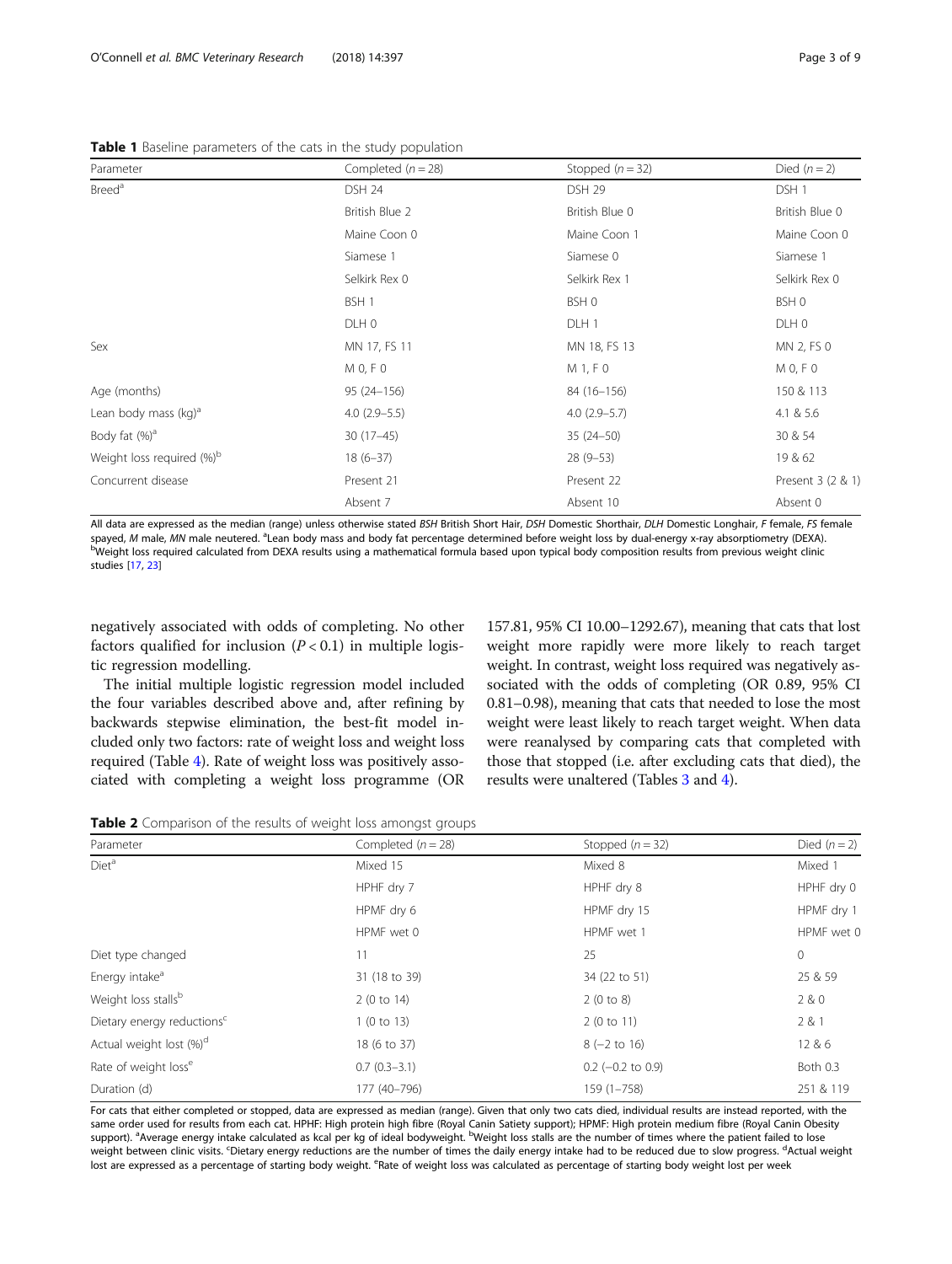<span id="page-2-0"></span>Table 1 Baseline parameters of the cats in the study population

| Parameter                             | Completed $(n = 28)$ | Stopped $(n = 32)$ | Died $(n=2)$      |
|---------------------------------------|----------------------|--------------------|-------------------|
| <b>Breed</b> <sup>a</sup>             | <b>DSH 24</b>        | <b>DSH 29</b>      | DSH <sub>1</sub>  |
|                                       | British Blue 2       | British Blue 0     | British Blue 0    |
|                                       | Maine Coon 0         | Maine Coon 1       | Maine Coon 0      |
|                                       | Siamese 1            | Siamese 0          | Siamese 1         |
|                                       | Selkirk Rex 0        | Selkirk Rex 1      | Selkirk Rex 0     |
|                                       | BSH <sub>1</sub>     | BSH 0              | BSH 0             |
|                                       | DLH 0                | DLH <sub>1</sub>   | DLH 0             |
| Sex                                   | MN 17, FS 11         | MN 18, FS 13       | MN 2, FS 0        |
|                                       | M 0, F 0             | M 1, F 0           | M 0, F 0          |
| Age (months)                          | $95(24 - 156)$       | 84 (16-156)        | 150 & 113         |
| Lean body mass (kg) <sup>a</sup>      | $4.0(2.9-5.5)$       | $4.0(2.9-5.7)$     | 4.1 & 5.6         |
| Body fat $(\%)^a$                     | $30(17-45)$          | $35(24-50)$        | 30 & 54           |
| Weight loss required (%) <sup>b</sup> | $18(6-37)$           | $28(9-53)$         | 19 & 62           |
| Concurrent disease                    | Present 21           | Present 22         | Present 3 (2 & 1) |
|                                       | Absent 7             | Absent 10          | Absent 0          |

All data are expressed as the median (range) unless otherwise stated BSH British Short Hair, DSH Domestic Shorthair, DLH Domestic Longhair, F female, FS female spayed, M male, MN male neutered. <sup>a</sup>Lean body mass and body fat percentage determined before weight loss by dual-energy x-ray absorptiometry (DEXA).<br>PWeight loss required salsulated from DEXA results using a mathematical <sup>b</sup>Weight loss required calculated from DEXA results using a mathematical formula based upon typical body composition results from previous weight clinic studies [\[17,](#page-8-0) [23](#page-8-0)]

negatively associated with odds of completing. No other factors qualified for inclusion  $(P < 0.1)$  in multiple logistic regression modelling.

The initial multiple logistic regression model included the four variables described above and, after refining by backwards stepwise elimination, the best-fit model included only two factors: rate of weight loss and weight loss required (Table [4\)](#page-3-0). Rate of weight loss was positively associated with completing a weight loss programme (OR

157.81, 95% CI 10.00–1292.67), meaning that cats that lost weight more rapidly were more likely to reach target weight. In contrast, weight loss required was negatively associated with the odds of completing (OR 0.89, 95% CI 0.81–0.98), meaning that cats that needed to lose the most weight were least likely to reach target weight. When data were reanalysed by comparing cats that completed with those that stopped (i.e. after excluding cats that died), the results were unaltered (Tables [3](#page-3-0) and [4](#page-3-0)).

Table 2 Comparison of the results of weight loss amongst groups

| Parameter                              | Completed $(n = 28)$ | Stopped $(n = 32)$     | Died $(n=2)$ |
|----------------------------------------|----------------------|------------------------|--------------|
| Diet <sup>a</sup>                      | Mixed 15             | Mixed 8                | Mixed 1      |
|                                        | HPHF dry 7           | HPHF dry 8             | HPHF dry 0   |
|                                        | HPMF dry 6           | HPMF dry 15            | HPMF dry 1   |
|                                        | HPMF wet 0           | HPMF wet 1             | HPMF wet 0   |
| Diet type changed                      | 11                   | 25                     | $\Omega$     |
| Energy intake <sup>a</sup>             | 31 (18 to 39)        | 34 (22 to 51)          | 25 & 59      |
| Weight loss stallsb                    | 2(0 to 14)           | 2(0 to 8)              | 2 & 0        |
| Dietary energy reductions <sup>c</sup> | 1(0 to 13)           | 2(0 to 11)             | 2 & 1        |
| Actual weight lost (%) <sup>d</sup>    | 18 (6 to 37)         | $8(-2 \text{ to } 16)$ | 12 & 6       |
| Rate of weight loss <sup>e</sup>       | $0.7(0.3-3.1)$       | $0.2$ (-0.2 to 0.9)    | Both 0.3     |
| Duration (d)                           | 177 (40-796)         | $159(1 - 758)$         | 251 & 119    |

For cats that either completed or stopped, data are expressed as median (range). Given that only two cats died, individual results are instead reported, with the same order used for results from each cat. HPHF: High protein high fibre (Royal Canin Satiety support); HPMF: High protein medium fibre (Royal Canin Obesity support). <sup>a</sup>Average energy intake calculated as kcal per kg of ideal bodyweight. <sup>b</sup>Weight loss stalls are the number of times where the patient failed to lose weight between clinic visits. <sup>c</sup>Dietary energy reductions are the number of times the daily energy intake had to be reduced due to slow progress. <sup>d</sup>Actual weight lost are expressed as a percentage of starting body weight. <sup>e</sup>Rate of weight loss was calculated as percentage of starting body weight lost per week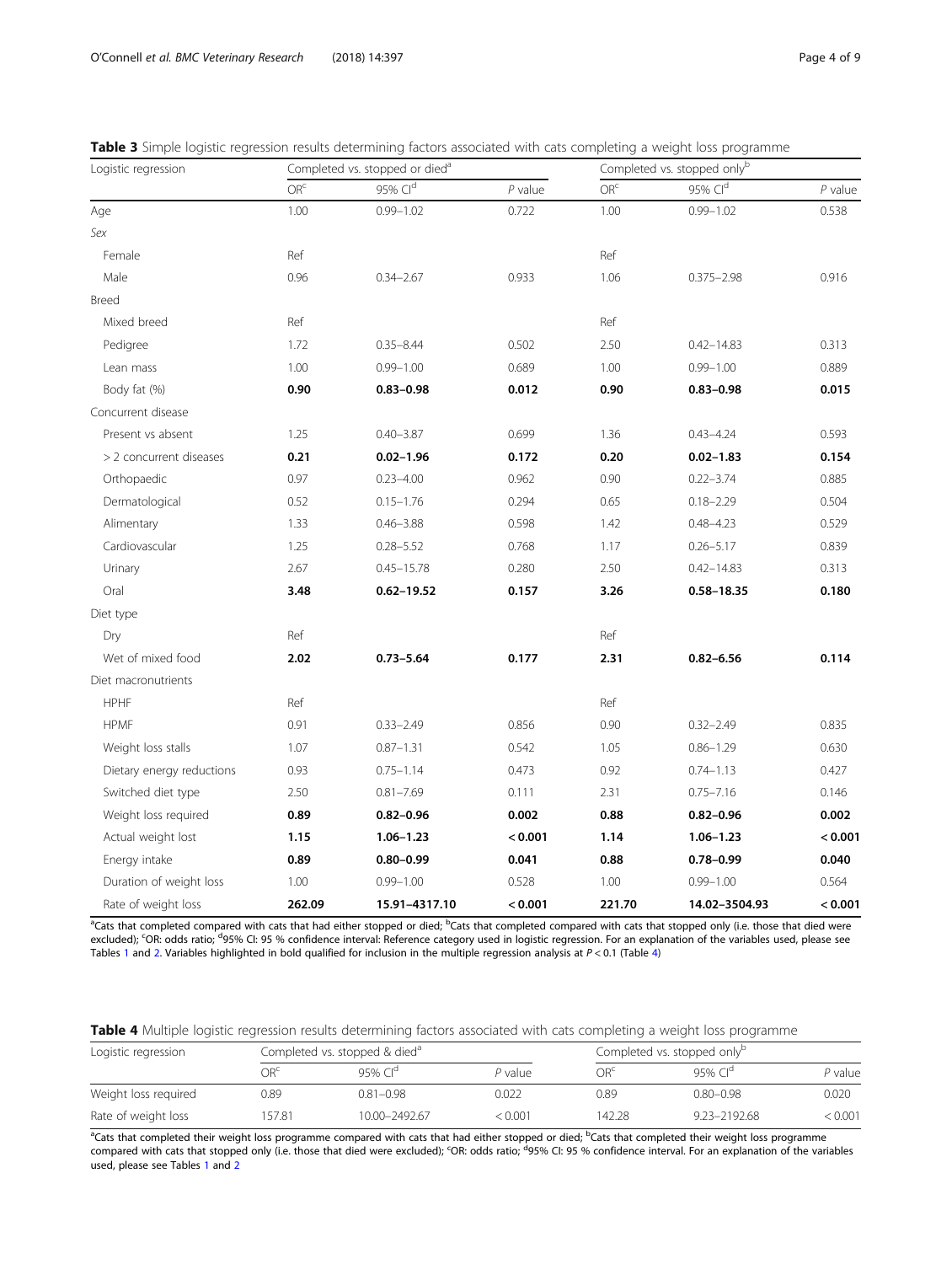| Logistic regression       | Completed vs. stopped or died <sup>a</sup> |                |           | Completed vs. stopped onlyb |                |           |
|---------------------------|--------------------------------------------|----------------|-----------|-----------------------------|----------------|-----------|
|                           | OR <sup>c</sup>                            | 95% Cld        | $P$ value | OR <sup>c</sup>             | 95% Cld        | $P$ value |
| Age                       | 1.00                                       | $0.99 - 1.02$  | 0.722     | 1.00                        | $0.99 - 1.02$  | 0.538     |
| Sex                       |                                            |                |           |                             |                |           |
| Female                    | Ref                                        |                |           | Ref                         |                |           |
| Male                      | 0.96                                       | $0.34 - 2.67$  | 0.933     | 1.06                        | $0.375 - 2.98$ | 0.916     |
| <b>Breed</b>              |                                            |                |           |                             |                |           |
| Mixed breed               | Ref                                        |                |           | Ref                         |                |           |
| Pedigree                  | 1.72                                       | $0.35 - 8.44$  | 0.502     | 2.50                        | $0.42 - 14.83$ | 0.313     |
| Lean mass                 | 1.00                                       | $0.99 - 1.00$  | 0.689     | 1.00                        | $0.99 - 1.00$  | 0.889     |
| Body fat (%)              | 0.90                                       | $0.83 - 0.98$  | 0.012     | 0.90                        | $0.83 - 0.98$  | 0.015     |
| Concurrent disease        |                                            |                |           |                             |                |           |
| Present vs absent         | 1.25                                       | $0.40 - 3.87$  | 0.699     | 1.36                        | $0.43 - 4.24$  | 0.593     |
| > 2 concurrent diseases   | 0.21                                       | $0.02 - 1.96$  | 0.172     | 0.20                        | $0.02 - 1.83$  | 0.154     |
| Orthopaedic               | 0.97                                       | $0.23 - 4.00$  | 0.962     | 0.90                        | $0.22 - 3.74$  | 0.885     |
| Dermatological            | 0.52                                       | $0.15 - 1.76$  | 0.294     | 0.65                        | $0.18 - 2.29$  | 0.504     |
| Alimentary                | 1.33                                       | $0.46 - 3.88$  | 0.598     | 1.42                        | $0.48 - 4.23$  | 0.529     |
| Cardiovascular            | 1.25                                       | $0.28 - 5.52$  | 0.768     | 1.17                        | $0.26 - 5.17$  | 0.839     |
| Urinary                   | 2.67                                       | $0.45 - 15.78$ | 0.280     | 2.50                        | $0.42 - 14.83$ | 0.313     |
| Oral                      | 3.48                                       | $0.62 - 19.52$ | 0.157     | 3.26                        | $0.58 - 18.35$ | 0.180     |
| Diet type                 |                                            |                |           |                             |                |           |
| Dry                       | Ref                                        |                |           | Ref                         |                |           |
| Wet of mixed food         | 2.02                                       | $0.73 - 5.64$  | 0.177     | 2.31                        | $0.82 - 6.56$  | 0.114     |
| Diet macronutrients       |                                            |                |           |                             |                |           |
| <b>HPHF</b>               | Ref                                        |                |           | Ref                         |                |           |
| <b>HPMF</b>               | 0.91                                       | $0.33 - 2.49$  | 0.856     | 0.90                        | $0.32 - 2.49$  | 0.835     |
| Weight loss stalls        | 1.07                                       | $0.87 - 1.31$  | 0.542     | 1.05                        | $0.86 - 1.29$  | 0.630     |
| Dietary energy reductions | 0.93                                       | $0.75 - 1.14$  | 0.473     | 0.92                        | $0.74 - 1.13$  | 0.427     |
| Switched diet type        | 2.50                                       | $0.81 - 7.69$  | 0.111     | 2.31                        | $0.75 - 7.16$  | 0.146     |
| Weight loss required      | 0.89                                       | $0.82 - 0.96$  | 0.002     | 0.88                        | $0.82 - 0.96$  | 0.002     |
| Actual weight lost        | 1.15                                       | $1.06 - 1.23$  | < 0.001   | 1.14                        | $1.06 - 1.23$  | < 0.001   |
| Energy intake             | 0.89                                       | $0.80 - 0.99$  | 0.041     | 0.88                        | $0.78 - 0.99$  | 0.040     |
| Duration of weight loss   | 1.00                                       | $0.99 - 1.00$  | 0.528     | 1.00                        | $0.99 - 1.00$  | 0.564     |
| Rate of weight loss       | 262.09                                     | 15.91-4317.10  | < 0.001   | 221.70                      | 14.02-3504.93  | < 0.001   |

<span id="page-3-0"></span>

|  |  |  | <b>Table 3</b> Simple logistic regression results determining factors associated with cats completing a weight loss programme |  |  |  |  |
|--|--|--|-------------------------------------------------------------------------------------------------------------------------------|--|--|--|--|
|--|--|--|-------------------------------------------------------------------------------------------------------------------------------|--|--|--|--|

<sup>a</sup>Cats that completed compared with cats that had either stopped or died; <sup>b</sup>Cats that completed compared with cats that stopped only (i.e. those that died were excluded); <sup>c</sup>OR: odds ratio; <sup>d</sup>95% CI: 95 % confidence interval: Reference category used in logistic regression. For an explanation of the variables used, please see Tables [1](#page-2-0) and [2.](#page-2-0) Variables highlighted in bold qualified for inclusion in the multiple regression analysis at P < 0.1 (Table 4)

|--|

| Logistic regression  |                 | Completed vs. stopped & died <sup>a</sup> |         |        | Completed vs. stopped only <sup>p</sup> |         |  |
|----------------------|-----------------|-------------------------------------------|---------|--------|-----------------------------------------|---------|--|
|                      | OR <sup>c</sup> | 95% $Cld$                                 | P value | $OR^c$ | 95% $Cld$                               | P value |  |
| Weight loss required | 0.89            | $0.81 - 0.98$                             | 0.022   | 0.89   | $0.80 - 0.98$                           | 0.020   |  |
| Rate of weight loss  | 157.81          | 10.00-2492.67                             | < 0.001 | 142.28 | 9.23-2192.68                            | < 0.001 |  |

<sup>a</sup>Cats that completed their weight loss programme compared with cats that had either stopped or died; <sup>b</sup>Cats that completed their weight loss programme<br>compared with cats that stopped only (i.e. those that died were excl used, please see Tables [1](#page-2-0) and [2](#page-2-0)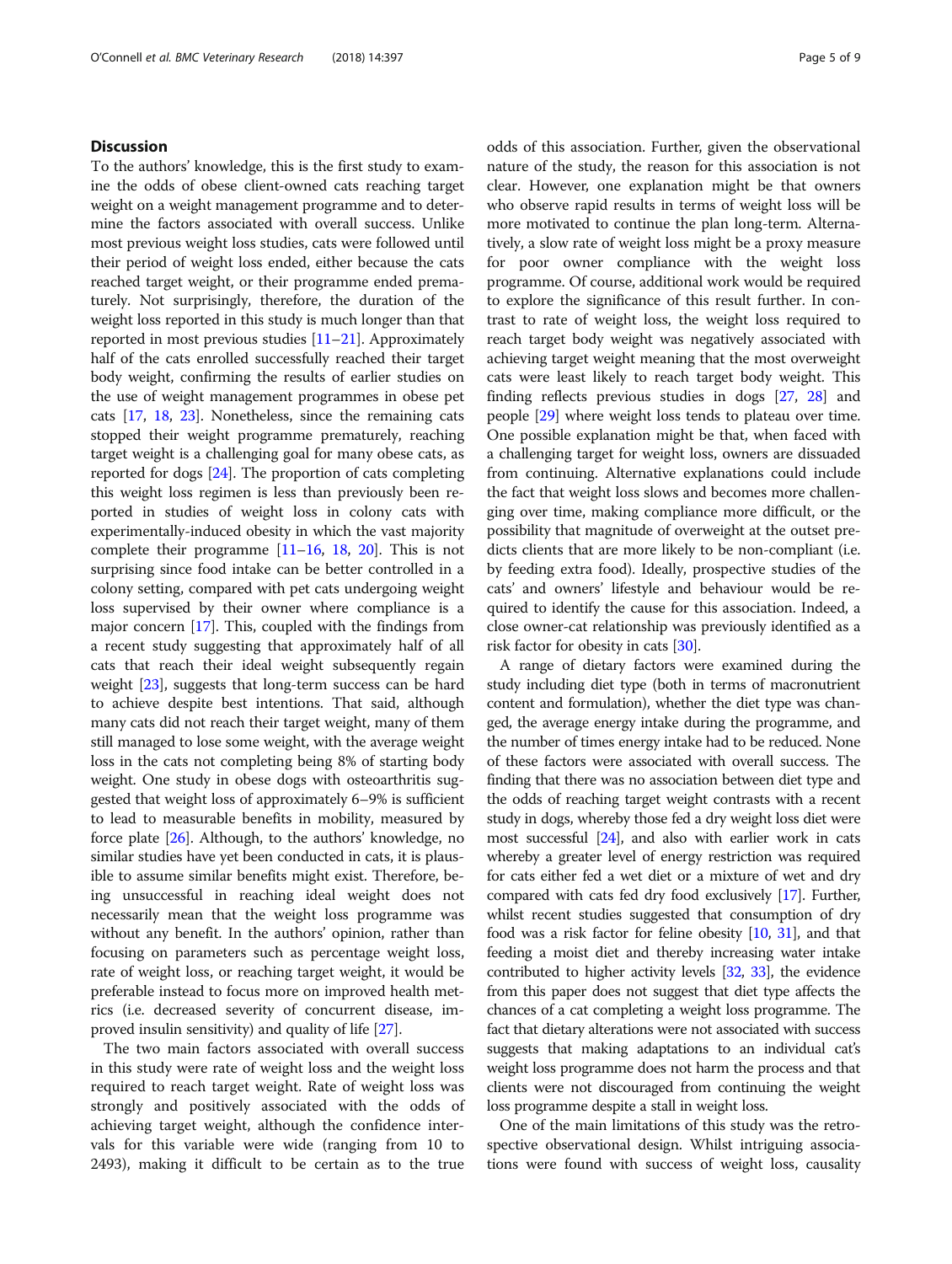## **Discussion**

To the authors' knowledge, this is the first study to examine the odds of obese client-owned cats reaching target weight on a weight management programme and to determine the factors associated with overall success. Unlike most previous weight loss studies, cats were followed until their period of weight loss ended, either because the cats reached target weight, or their programme ended prematurely. Not surprisingly, therefore, the duration of the weight loss reported in this study is much longer than that reported in most previous studies  $[11-21]$  $[11-21]$  $[11-21]$  $[11-21]$ . Approximately half of the cats enrolled successfully reached their target body weight, confirming the results of earlier studies on the use of weight management programmes in obese pet cats [[17,](#page-8-0) [18,](#page-8-0) [23](#page-8-0)]. Nonetheless, since the remaining cats stopped their weight programme prematurely, reaching target weight is a challenging goal for many obese cats, as reported for dogs [\[24\]](#page-8-0). The proportion of cats completing this weight loss regimen is less than previously been reported in studies of weight loss in colony cats with experimentally-induced obesity in which the vast majority complete their programme [\[11](#page-8-0)–[16](#page-8-0), [18](#page-8-0), [20\]](#page-8-0). This is not surprising since food intake can be better controlled in a colony setting, compared with pet cats undergoing weight loss supervised by their owner where compliance is a major concern [\[17\]](#page-8-0). This, coupled with the findings from a recent study suggesting that approximately half of all cats that reach their ideal weight subsequently regain weight [\[23\]](#page-8-0), suggests that long-term success can be hard to achieve despite best intentions. That said, although many cats did not reach their target weight, many of them still managed to lose some weight, with the average weight loss in the cats not completing being 8% of starting body weight. One study in obese dogs with osteoarthritis suggested that weight loss of approximately 6–9% is sufficient to lead to measurable benefits in mobility, measured by force plate [\[26\]](#page-8-0). Although, to the authors' knowledge, no similar studies have yet been conducted in cats, it is plausible to assume similar benefits might exist. Therefore, being unsuccessful in reaching ideal weight does not necessarily mean that the weight loss programme was without any benefit. In the authors' opinion, rather than focusing on parameters such as percentage weight loss, rate of weight loss, or reaching target weight, it would be preferable instead to focus more on improved health metrics (i.e. decreased severity of concurrent disease, improved insulin sensitivity) and quality of life [[27](#page-8-0)].

The two main factors associated with overall success in this study were rate of weight loss and the weight loss required to reach target weight. Rate of weight loss was strongly and positively associated with the odds of achieving target weight, although the confidence intervals for this variable were wide (ranging from 10 to 2493), making it difficult to be certain as to the true odds of this association. Further, given the observational nature of the study, the reason for this association is not clear. However, one explanation might be that owners who observe rapid results in terms of weight loss will be more motivated to continue the plan long-term. Alternatively, a slow rate of weight loss might be a proxy measure for poor owner compliance with the weight loss programme. Of course, additional work would be required to explore the significance of this result further. In contrast to rate of weight loss, the weight loss required to reach target body weight was negatively associated with achieving target weight meaning that the most overweight cats were least likely to reach target body weight. This finding reflects previous studies in dogs [[27](#page-8-0), [28\]](#page-8-0) and people [[29](#page-8-0)] where weight loss tends to plateau over time. One possible explanation might be that, when faced with a challenging target for weight loss, owners are dissuaded from continuing. Alternative explanations could include the fact that weight loss slows and becomes more challenging over time, making compliance more difficult, or the possibility that magnitude of overweight at the outset predicts clients that are more likely to be non-compliant (i.e. by feeding extra food). Ideally, prospective studies of the cats' and owners' lifestyle and behaviour would be required to identify the cause for this association. Indeed, a close owner-cat relationship was previously identified as a risk factor for obesity in cats [[30\]](#page-8-0).

A range of dietary factors were examined during the study including diet type (both in terms of macronutrient content and formulation), whether the diet type was changed, the average energy intake during the programme, and the number of times energy intake had to be reduced. None of these factors were associated with overall success. The finding that there was no association between diet type and the odds of reaching target weight contrasts with a recent study in dogs, whereby those fed a dry weight loss diet were most successful [\[24](#page-8-0)], and also with earlier work in cats whereby a greater level of energy restriction was required for cats either fed a wet diet or a mixture of wet and dry compared with cats fed dry food exclusively [[17](#page-8-0)]. Further, whilst recent studies suggested that consumption of dry food was a risk factor for feline obesity [\[10,](#page-8-0) [31\]](#page-8-0), and that feeding a moist diet and thereby increasing water intake contributed to higher activity levels [[32,](#page-8-0) [33](#page-8-0)], the evidence from this paper does not suggest that diet type affects the chances of a cat completing a weight loss programme. The fact that dietary alterations were not associated with success suggests that making adaptations to an individual cat's weight loss programme does not harm the process and that clients were not discouraged from continuing the weight loss programme despite a stall in weight loss.

One of the main limitations of this study was the retrospective observational design. Whilst intriguing associations were found with success of weight loss, causality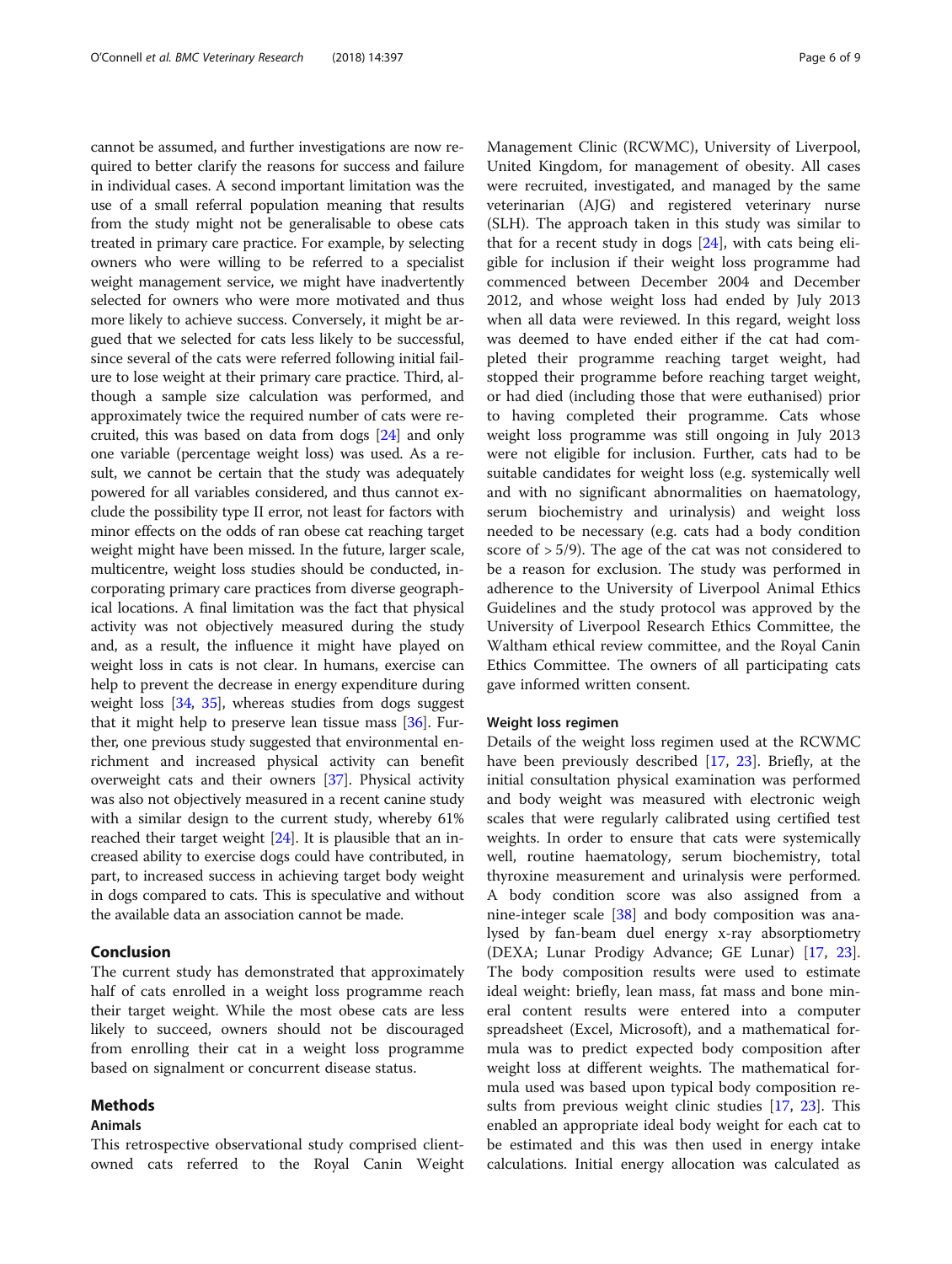cannot be assumed, and further investigations are now required to better clarify the reasons for success and failure in individual cases. A second important limitation was the use of a small referral population meaning that results from the study might not be generalisable to obese cats treated in primary care practice. For example, by selecting owners who were willing to be referred to a specialist weight management service, we might have inadvertently selected for owners who were more motivated and thus more likely to achieve success. Conversely, it might be argued that we selected for cats less likely to be successful, since several of the cats were referred following initial failure to lose weight at their primary care practice. Third, although a sample size calculation was performed, and approximately twice the required number of cats were recruited, this was based on data from dogs [\[24\]](#page-8-0) and only one variable (percentage weight loss) was used. As a result, we cannot be certain that the study was adequately powered for all variables considered, and thus cannot exclude the possibility type II error, not least for factors with minor effects on the odds of ran obese cat reaching target weight might have been missed. In the future, larger scale, multicentre, weight loss studies should be conducted, incorporating primary care practices from diverse geographical locations. A final limitation was the fact that physical activity was not objectively measured during the study and, as a result, the influence it might have played on weight loss in cats is not clear. In humans, exercise can help to prevent the decrease in energy expenditure during weight loss [\[34,](#page-8-0) [35\]](#page-8-0), whereas studies from dogs suggest that it might help to preserve lean tissue mass [[36\]](#page-8-0). Further, one previous study suggested that environmental enrichment and increased physical activity can benefit overweight cats and their owners [\[37](#page-8-0)]. Physical activity was also not objectively measured in a recent canine study with a similar design to the current study, whereby 61% reached their target weight [\[24\]](#page-8-0). It is plausible that an increased ability to exercise dogs could have contributed, in part, to increased success in achieving target body weight in dogs compared to cats. This is speculative and without the available data an association cannot be made.

## Conclusion

The current study has demonstrated that approximately half of cats enrolled in a weight loss programme reach their target weight. While the most obese cats are less likely to succeed, owners should not be discouraged from enrolling their cat in a weight loss programme based on signalment or concurrent disease status.

## Methods

## Animals

This retrospective observational study comprised clientowned cats referred to the Royal Canin Weight

Management Clinic (RCWMC), University of Liverpool, United Kingdom, for management of obesity. All cases were recruited, investigated, and managed by the same veterinarian (AJG) and registered veterinary nurse (SLH). The approach taken in this study was similar to that for a recent study in dogs  $[24]$  $[24]$ , with cats being eligible for inclusion if their weight loss programme had commenced between December 2004 and December 2012, and whose weight loss had ended by July 2013 when all data were reviewed. In this regard, weight loss was deemed to have ended either if the cat had completed their programme reaching target weight, had stopped their programme before reaching target weight, or had died (including those that were euthanised) prior to having completed their programme. Cats whose weight loss programme was still ongoing in July 2013 were not eligible for inclusion. Further, cats had to be suitable candidates for weight loss (e.g. systemically well and with no significant abnormalities on haematology, serum biochemistry and urinalysis) and weight loss needed to be necessary (e.g. cats had a body condition score of > 5/9). The age of the cat was not considered to be a reason for exclusion. The study was performed in adherence to the University of Liverpool Animal Ethics Guidelines and the study protocol was approved by the University of Liverpool Research Ethics Committee, the Waltham ethical review committee, and the Royal Canin Ethics Committee. The owners of all participating cats gave informed written consent.

#### Weight loss regimen

Details of the weight loss regimen used at the RCWMC have been previously described [\[17](#page-8-0), [23\]](#page-8-0). Briefly, at the initial consultation physical examination was performed and body weight was measured with electronic weigh scales that were regularly calibrated using certified test weights. In order to ensure that cats were systemically well, routine haematology, serum biochemistry, total thyroxine measurement and urinalysis were performed. A body condition score was also assigned from a nine-integer scale [[38\]](#page-8-0) and body composition was analysed by fan-beam duel energy x-ray absorptiometry (DEXA; Lunar Prodigy Advance; GE Lunar) [[17,](#page-8-0) [23](#page-8-0)]. The body composition results were used to estimate ideal weight: briefly, lean mass, fat mass and bone mineral content results were entered into a computer spreadsheet (Excel, Microsoft), and a mathematical formula was to predict expected body composition after weight loss at different weights. The mathematical formula used was based upon typical body composition results from previous weight clinic studies [[17](#page-8-0), [23\]](#page-8-0). This enabled an appropriate ideal body weight for each cat to be estimated and this was then used in energy intake calculations. Initial energy allocation was calculated as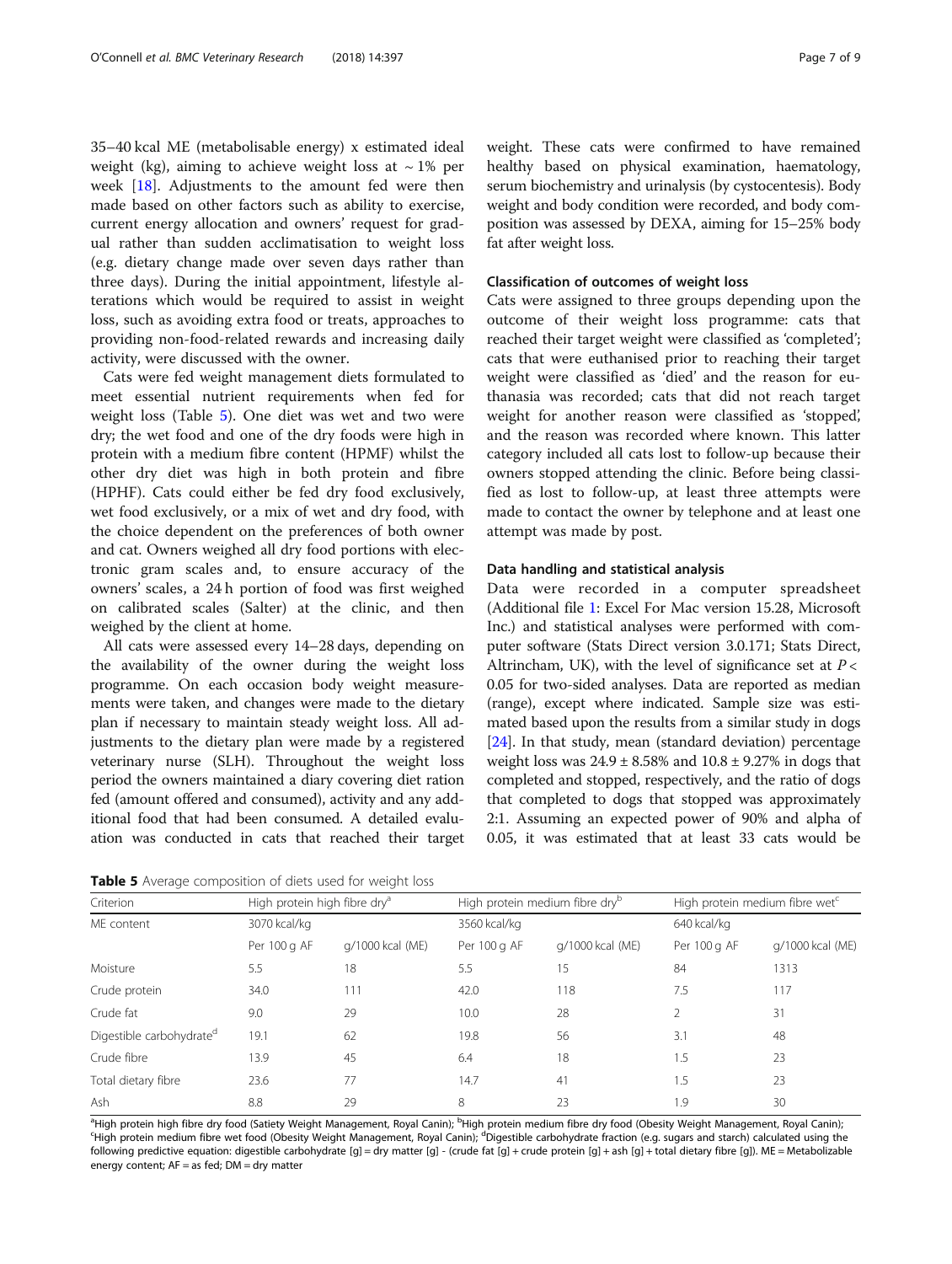35–40 kcal ME (metabolisable energy) x estimated ideal weight (kg), aiming to achieve weight loss at  $\sim 1\%$  per week [\[18](#page-8-0)]. Adjustments to the amount fed were then made based on other factors such as ability to exercise, current energy allocation and owners' request for gradual rather than sudden acclimatisation to weight loss (e.g. dietary change made over seven days rather than three days). During the initial appointment, lifestyle alterations which would be required to assist in weight loss, such as avoiding extra food or treats, approaches to providing non-food-related rewards and increasing daily activity, were discussed with the owner.

Cats were fed weight management diets formulated to meet essential nutrient requirements when fed for weight loss (Table 5). One diet was wet and two were dry; the wet food and one of the dry foods were high in protein with a medium fibre content (HPMF) whilst the other dry diet was high in both protein and fibre (HPHF). Cats could either be fed dry food exclusively, wet food exclusively, or a mix of wet and dry food, with the choice dependent on the preferences of both owner and cat. Owners weighed all dry food portions with electronic gram scales and, to ensure accuracy of the owners' scales, a 24 h portion of food was first weighed on calibrated scales (Salter) at the clinic, and then weighed by the client at home.

All cats were assessed every 14–28 days, depending on the availability of the owner during the weight loss programme. On each occasion body weight measurements were taken, and changes were made to the dietary plan if necessary to maintain steady weight loss. All adjustments to the dietary plan were made by a registered veterinary nurse (SLH). Throughout the weight loss period the owners maintained a diary covering diet ration fed (amount offered and consumed), activity and any additional food that had been consumed. A detailed evaluation was conducted in cats that reached their target

Table 5 Average composition of diets used for weight loss

weight. These cats were confirmed to have remained healthy based on physical examination, haematology, serum biochemistry and urinalysis (by cystocentesis). Body weight and body condition were recorded, and body composition was assessed by DEXA, aiming for 15–25% body fat after weight loss.

## Classification of outcomes of weight loss

Cats were assigned to three groups depending upon the outcome of their weight loss programme: cats that reached their target weight were classified as 'completed'; cats that were euthanised prior to reaching their target weight were classified as 'died' and the reason for euthanasia was recorded; cats that did not reach target weight for another reason were classified as 'stopped', and the reason was recorded where known. This latter category included all cats lost to follow-up because their owners stopped attending the clinic. Before being classified as lost to follow-up, at least three attempts were made to contact the owner by telephone and at least one attempt was made by post.

#### Data handling and statistical analysis

Data were recorded in a computer spreadsheet (Additional file [1](#page-7-0): Excel For Mac version 15.28, Microsoft Inc.) and statistical analyses were performed with computer software (Stats Direct version 3.0.171; Stats Direct, Altrincham, UK), with the level of significance set at  $P \lt \theta$ 0.05 for two-sided analyses. Data are reported as median (range), except where indicated. Sample size was estimated based upon the results from a similar study in dogs [[24](#page-8-0)]. In that study, mean (standard deviation) percentage weight loss was  $24.9 \pm 8.58\%$  and  $10.8 \pm 9.27\%$  in dogs that completed and stopped, respectively, and the ratio of dogs that completed to dogs that stopped was approximately 2:1. Assuming an expected power of 90% and alpha of 0.05, it was estimated that at least 33 cats would be

| Criterion                            | High protein high fibre dry <sup>a</sup> |                  | High protein medium fibre dry <sup>b</sup> |                  |              | High protein medium fibre wet <sup>c</sup> |  |
|--------------------------------------|------------------------------------------|------------------|--------------------------------------------|------------------|--------------|--------------------------------------------|--|
| ME content                           | 3070 kcal/kg                             |                  | 3560 kcal/kg                               |                  |              | 640 kcal/kg                                |  |
|                                      | Per 100 g AF                             | g/1000 kcal (ME) | Per 100 g AF                               | g/1000 kcal (ME) | Per 100 g AF | g/1000 kcal (ME)                           |  |
| Moisture                             | 5.5                                      | 18               | 5.5                                        | 15               | 84           | 1313                                       |  |
| Crude protein                        | 34.0                                     | 111              | 42.0                                       | 118              | 7.5          | 117                                        |  |
| Crude fat                            | 9.0                                      | 29               | 10.0                                       | 28               |              | 31                                         |  |
| Digestible carbohydrate <sup>d</sup> | 19.1                                     | 62               | 19.8                                       | 56               | 3.1          | 48                                         |  |
| Crude fibre                          | 13.9                                     | 45               | 6.4                                        | 18               | 1.5          | 23                                         |  |
| Total dietary fibre                  | 23.6                                     | 77               | 14.7                                       | 41               | 1.5          | 23                                         |  |
| Ash                                  | 8.8                                      | 29               | 8                                          | 23               | 1.9          | 30                                         |  |

<sup>a</sup> High protein high fibre dry food (Satiety Weight Management, Royal Canin); <sup>b</sup>High protein medium fibre dry food (Obesity Weight Management, Royal Canin);<br>Shigh protein medium fibre wet food (Obesity Weight Management, High protein medium fibre wet food (Obesity Weight Management, Royal Canin); <sup>d</sup>Digestible carbohydrate fraction (e.g. sugars and starch) calculated using the following predictive equation: digestible carbohydrate [g] = dry matter [g] - (crude fat [g] + crude protein [g] + ash [g] + total dietary fibre [g]). ME = Metabolizable energy content; AF = as fed; DM = dry matter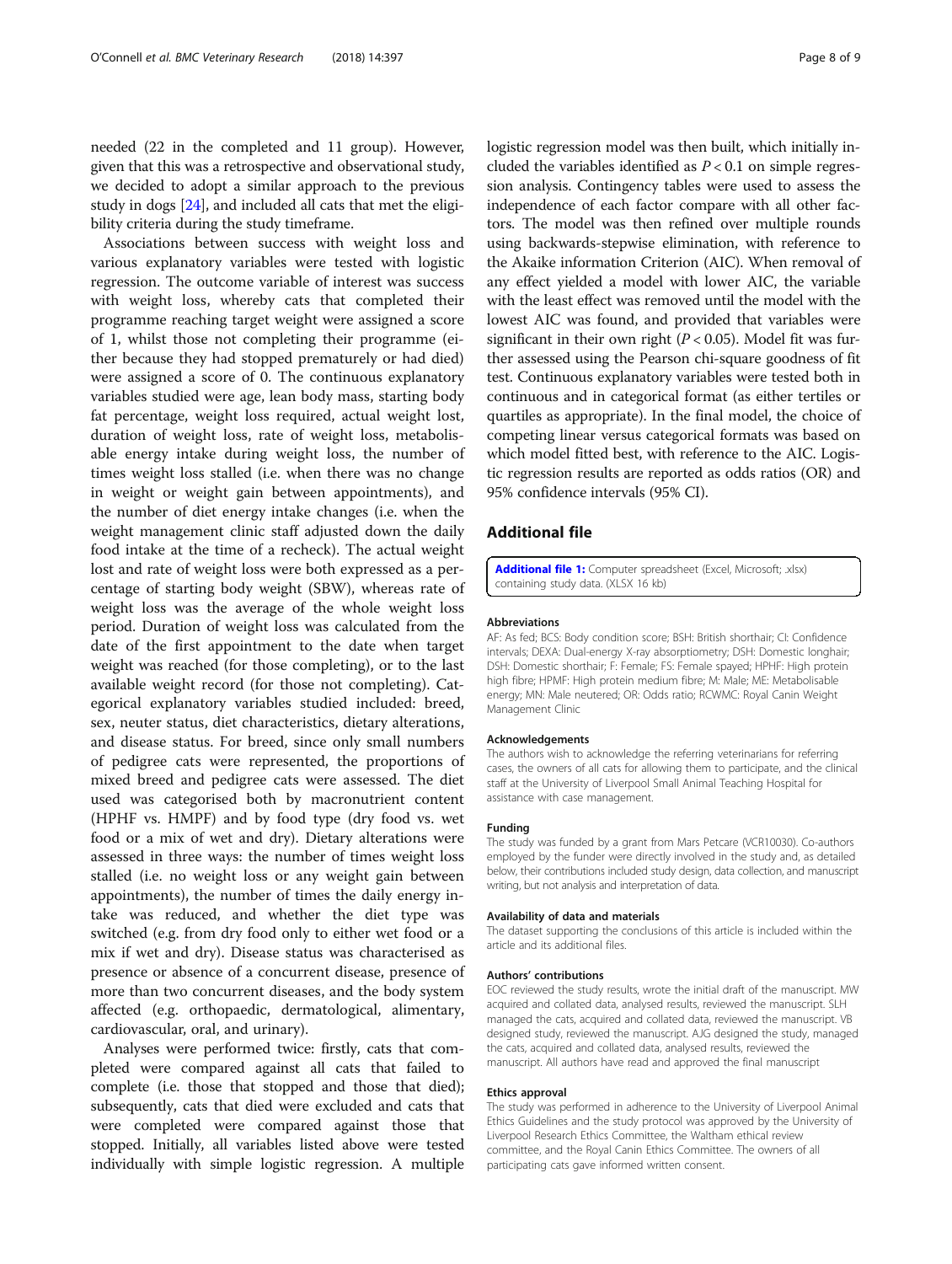<span id="page-7-0"></span>needed (22 in the completed and 11 group). However, given that this was a retrospective and observational study, we decided to adopt a similar approach to the previous study in dogs [[24\]](#page-8-0), and included all cats that met the eligibility criteria during the study timeframe.

Associations between success with weight loss and various explanatory variables were tested with logistic regression. The outcome variable of interest was success with weight loss, whereby cats that completed their programme reaching target weight were assigned a score of 1, whilst those not completing their programme (either because they had stopped prematurely or had died) were assigned a score of 0. The continuous explanatory variables studied were age, lean body mass, starting body fat percentage, weight loss required, actual weight lost, duration of weight loss, rate of weight loss, metabolisable energy intake during weight loss, the number of times weight loss stalled (i.e. when there was no change in weight or weight gain between appointments), and the number of diet energy intake changes (i.e. when the weight management clinic staff adjusted down the daily food intake at the time of a recheck). The actual weight lost and rate of weight loss were both expressed as a percentage of starting body weight (SBW), whereas rate of weight loss was the average of the whole weight loss period. Duration of weight loss was calculated from the date of the first appointment to the date when target weight was reached (for those completing), or to the last available weight record (for those not completing). Categorical explanatory variables studied included: breed, sex, neuter status, diet characteristics, dietary alterations, and disease status. For breed, since only small numbers of pedigree cats were represented, the proportions of mixed breed and pedigree cats were assessed. The diet used was categorised both by macronutrient content (HPHF vs. HMPF) and by food type (dry food vs. wet food or a mix of wet and dry). Dietary alterations were assessed in three ways: the number of times weight loss stalled (i.e. no weight loss or any weight gain between appointments), the number of times the daily energy intake was reduced, and whether the diet type was switched (e.g. from dry food only to either wet food or a mix if wet and dry). Disease status was characterised as presence or absence of a concurrent disease, presence of more than two concurrent diseases, and the body system affected (e.g. orthopaedic, dermatological, alimentary, cardiovascular, oral, and urinary).

Analyses were performed twice: firstly, cats that completed were compared against all cats that failed to complete (i.e. those that stopped and those that died); subsequently, cats that died were excluded and cats that were completed were compared against those that stopped. Initially, all variables listed above were tested individually with simple logistic regression. A multiple

logistic regression model was then built, which initially included the variables identified as  $P < 0.1$  on simple regression analysis. Contingency tables were used to assess the independence of each factor compare with all other factors. The model was then refined over multiple rounds using backwards-stepwise elimination, with reference to the Akaike information Criterion (AIC). When removal of any effect yielded a model with lower AIC, the variable with the least effect was removed until the model with the lowest AIC was found, and provided that variables were significant in their own right ( $P < 0.05$ ). Model fit was further assessed using the Pearson chi-square goodness of fit test. Continuous explanatory variables were tested both in continuous and in categorical format (as either tertiles or quartiles as appropriate). In the final model, the choice of competing linear versus categorical formats was based on which model fitted best, with reference to the AIC. Logistic regression results are reported as odds ratios (OR) and 95% confidence intervals (95% CI).

## Additional file

[Additional file 1:](https://doi.org/10.1186/s12917-018-1740-5) Computer spreadsheet (Excel, Microsoft; .xlsx) containing study data. (XLSX 16 kb)

#### Abbreviations

AF: As fed; BCS: Body condition score; BSH: British shorthair; CI: Confidence intervals; DEXA: Dual-energy X-ray absorptiometry; DSH: Domestic longhair; DSH: Domestic shorthair; F: Female; FS: Female spayed; HPHF: High protein high fibre; HPMF: High protein medium fibre; M: Male; ME: Metabolisable energy; MN: Male neutered; OR: Odds ratio; RCWMC: Royal Canin Weight Management Clinic

#### Acknowledgements

The authors wish to acknowledge the referring veterinarians for referring cases, the owners of all cats for allowing them to participate, and the clinical staff at the University of Liverpool Small Animal Teaching Hospital for assistance with case management.

## Funding

The study was funded by a grant from Mars Petcare (VCR10030). Co-authors employed by the funder were directly involved in the study and, as detailed below, their contributions included study design, data collection, and manuscript writing, but not analysis and interpretation of data.

#### Availability of data and materials

The dataset supporting the conclusions of this article is included within the article and its additional files.

#### Authors' contributions

EOC reviewed the study results, wrote the initial draft of the manuscript. MW acquired and collated data, analysed results, reviewed the manuscript. SLH managed the cats, acquired and collated data, reviewed the manuscript. VB designed study, reviewed the manuscript. AJG designed the study, managed the cats, acquired and collated data, analysed results, reviewed the manuscript. All authors have read and approved the final manuscript

#### Ethics approval

The study was performed in adherence to the University of Liverpool Animal Ethics Guidelines and the study protocol was approved by the University of Liverpool Research Ethics Committee, the Waltham ethical review committee, and the Royal Canin Ethics Committee. The owners of all participating cats gave informed written consent.